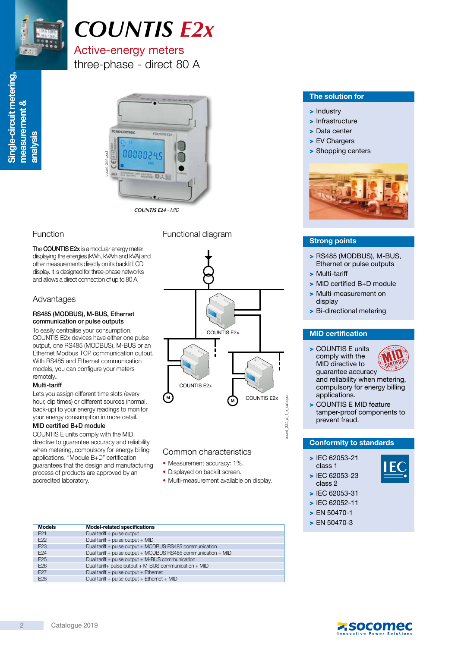

# *COUNTIS E2x*

# Active-energy meters

three-phase - direct 80 A



*COUNTIS E24* - MID

### Function Functional diagram

The **COUNTIS E2x** is a modular energy meter displaying the energies (kWh, kVArh and kVA) and other measurements directly on its backlit LCD display. It is designed for three-phase networks and allows a direct connection of up to 80 A.

### Advantages

#### RS485 (MODBUS), M-BUS, Ethernet communication or pulse outputs

To easily centralise your consumption, COUNTIS E2x devices have either one pulse output, one RS485 (MODBUS), M-BUS or an Ethernet Modbus TCP communication output. With RS485 and Ethernet communication models, you can configure your meters remotely.

#### Multi-tariff

Lets you assign different time slots (every hour, dip times) or different sources (normal, back-up) to your energy readings to monitor your energy consumption in more detail.

#### MID certified B+D module

COUNTIS E units comply with the MID directive to guarantee accuracy and reliability when metering, compulsory for energy billing applications. "Module B+D" certification guarantees that the design and manufacturing process of products are approved by an accredited laboratory.





#### Common characteristics

- Measurement accuracy: 1%.
- Displayed on backlit screen.
- Multi-measurement available on display.

| <b>Models</b>   | Model-related specifications                                  |
|-----------------|---------------------------------------------------------------|
| E21             | Dual tariff + pulse output                                    |
| E <sub>22</sub> | Dual tariff + pulse output + MID                              |
| E <sub>23</sub> | Dual tariff + pulse output + MODBUS RS485 communication       |
| E <sub>24</sub> | Dual tariff + pulse output + MODBUS RS485 communication + MID |
| E <sub>25</sub> | Dual tariff + pulse output + M-BUS communication              |
| E <sub>26</sub> | Dual tariff+ pulse output + M-BUS communication + MID         |
| E <sub>27</sub> | Dual tariff + pulse output + Ethernet                         |
| E <sub>28</sub> | Dual tariff + pulse output + Ethernet + MID                   |
|                 |                                                               |

#### The solution for

- > Industry
- > Infrastructure
- > Data center
- > EV Chargers
- > Shopping centers



#### Strong points

- > RS485 (MODBUS), M-BUS, Ethernet or pulse outputs
- > Multi-tariff
- > MID certified B+D module
- > Multi-measurement on display
- > Bi-directional metering

> COUNTIS E units comply with the MID directive to guarantee accuracy



and reliability when metering, compulsory for energy billing applications.

> COUNTIS E MID feature tamper-proof components to prevent fraud.

#### Conformity to standards

- > IEC 62053-21 class 1
- > IEC 62053-23 class 2



- > IEC 62053-31
- > IEC 62052-11
- > EN 50470-1 > EN 50470-3

÷,